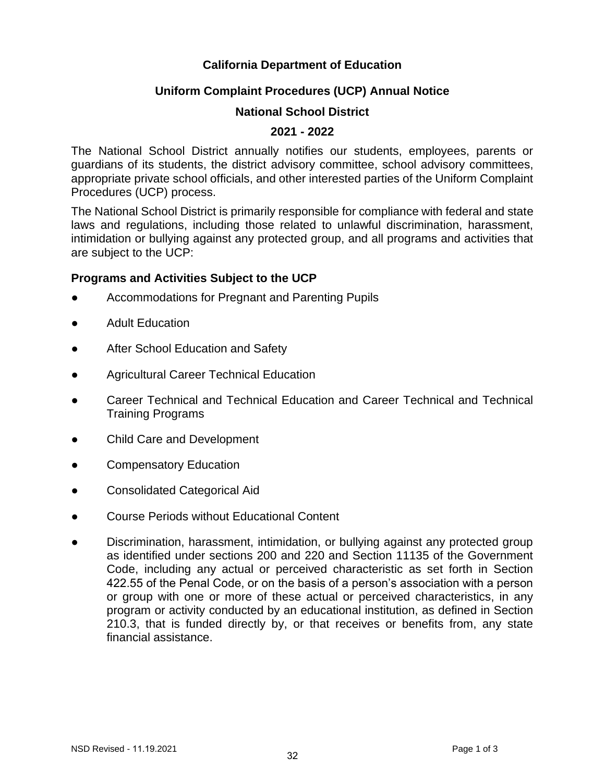### **California Department of Education**

## **Uniform Complaint Procedures (UCP) Annual Notice**

### **National School District**

#### **2021 - 2022**

The National School District annually notifies our students, employees, parents or guardians of its students, the district advisory committee, school advisory committees, appropriate private school officials, and other interested parties of the Uniform Complaint Procedures (UCP) process.

The National School District is primarily responsible for compliance with federal and state laws and regulations, including those related to unlawful discrimination, harassment, intimidation or bullying against any protected group, and all programs and activities that are subject to the UCP:

#### **Programs and Activities Subject to the UCP**

- Accommodations for Pregnant and Parenting Pupils
- **Adult Education**
- After School Education and Safety
- **Agricultural Career Technical Education**
- Career Technical and Technical Education and Career Technical and Technical Training Programs
- Child Care and Development
- Compensatory Education
- Consolidated Categorical Aid
- Course Periods without Educational Content
- Discrimination, harassment, intimidation, or bullying against any protected group as identified under sections 200 and 220 and Section 11135 of the Government Code, including any actual or perceived characteristic as set forth in Section 422.55 of the Penal Code, or on the basis of a person's association with a person or group with one or more of these actual or perceived characteristics, in any program or activity conducted by an educational institution, as defined in Section 210.3, that is funded directly by, or that receives or benefits from, any state financial assistance.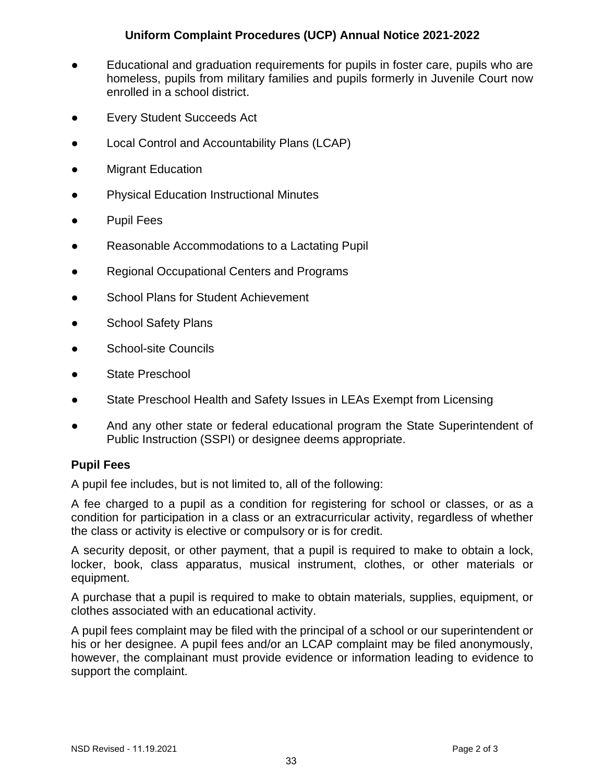# **Uniform Complaint Procedures (UCP) Annual Notice 2021-2022**

- Educational and graduation requirements for pupils in foster care, pupils who are homeless, pupils from military families and pupils formerly in Juvenile Court now enrolled in a school district.
- **Every Student Succeeds Act**
- Local Control and Accountability Plans (LCAP)
- **Migrant Education**
- **Physical Education Instructional Minutes**
- **Pupil Fees**
- Reasonable Accommodations to a Lactating Pupil
- Regional Occupational Centers and Programs
- School Plans for Student Achievement
- School Safety Plans
- School-site Councils
- State Preschool
- State Preschool Health and Safety Issues in LEAs Exempt from Licensing
- And any other state or federal educational program the State Superintendent of Public Instruction (SSPI) or designee deems appropriate.

# **Pupil Fees**

A pupil fee includes, but is not limited to, all of the following:

A fee charged to a pupil as a condition for registering for school or classes, or as a condition for participation in a class or an extracurricular activity, regardless of whether the class or activity is elective or compulsory or is for credit.

A security deposit, or other payment, that a pupil is required to make to obtain a lock, locker, book, class apparatus, musical instrument, clothes, or other materials or equipment.

A purchase that a pupil is required to make to obtain materials, supplies, equipment, or clothes associated with an educational activity.

A pupil fees complaint may be filed with the principal of a school or our superintendent or his or her designee. A pupil fees and/or an LCAP complaint may be filed anonymously, however, the complainant must provide evidence or information leading to evidence to support the complaint.